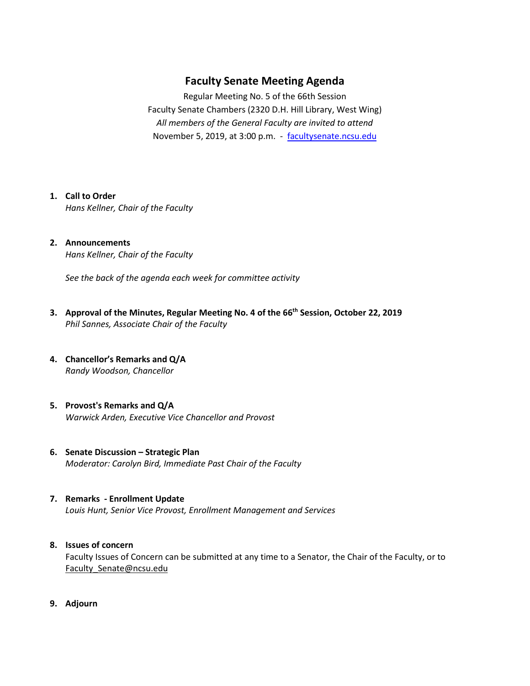# **Faculty Senate Meeting Agenda**

Regular Meeting No. 5 of the 66th Session Faculty Senate Chambers (2320 D.H. Hill Library, West Wing) *All members of the General Faculty are invited to attend* November 5, 2019, at 3:00 p.m. - [facultysenate.ncsu.edu](https://facultysenate.ncsu.edu/)

#### **1. Call to Order**

*Hans Kellner, Chair of the Faculty*

#### **2. Announcements** *Hans Kellner, Chair of the Faculty*

*See the back of the agenda each week for committee activity* 

- **3. Approval of the Minutes, Regular Meeting No. 4 of the 66th Session, October 22, 2019** *Phil Sannes, Associate Chair of the Faculty*
- **4. Chancellor's Remarks and Q/A** *Randy Woodson, Chancellor*
- **5. Provost's Remarks and Q/A** *Warwick Arden, Executive Vice Chancellor and Provost*
- **6. Senate Discussion – Strategic Plan** *Moderator: Carolyn Bird, Immediate Past Chair of the Faculty*

### **7. Remarks - Enrollment Update**

*Louis Hunt, Senior Vice Provost, Enrollment Management and Services* 

## **8. Issues of concern**

Faculty Issues of Concern can be submitted at any time to a Senator, the Chair of the Faculty, or to [Faculty\\_Senate@ncsu.edu](mailto:Faculty_Senate@ncsu.edu)

**9. Adjourn**